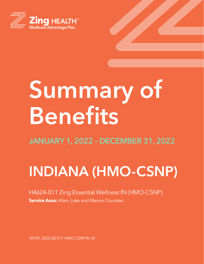

# **Summary of Benefits**

## **INDIANA (HMO-CSNP)**

#### H4624-011 Zing Essential Wellness IN (HMO-CSNP) **Service Area:** Allen, Lake and Marion Counties

Y0149\_2022-SB-011-HMO-CSNP-IN\_M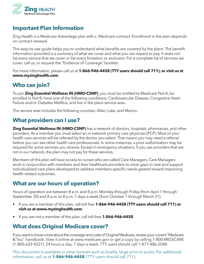

#### **Important Plan Information**

Zing Health is a Medicare Advantage plan with a Medicare contract. Enrollment in the plan depends on contract renewal.

This easy-to-use guide helps you to understand what benefits are covered by the plans. The benefit information provided is a summary of what we cover and what you can expect to pay. It does not list every service that we cover or list every limitation or exclusion. For a complete list of services we cover, call us, or request the "Evidence of Coverage" booklet.

For more information, please call us at **1-866-946-4458 (TTY users should call 711), or visit us at www.myzinghealth.com**.

#### **Who can join?**

To join **Zing Essential Wellness IN (HMO-CSNP)**, you must be entitled to Medicare Part A, be enrolled in Part B, have one of the following conditions: Cardiovascular Disease, Congestive Heart Failure and/or Diabetes Mellitus, and live in the plans service area.

The service area includes the following counties: Allen, Lake, and Marion.

#### **What providers can I use?**

**Zing Essential Wellness IN (HMO-CSNP)** has a network of doctors, hospitals, pharmacies, and other providers. As a member you must select an in-network primary care physician (PCP). Most of your health care services will be referred by the doctor you select. That means you may need a referral before you can see other health care professionals. In some instances, a prior authorization may be required for some services you receive. Except in emergency situations, if you use providers that are not in our network, the plan may not pay for these services.

Members of this plan will have access to nurses who are called Care Managers. Care Managers work in conjunction with members and their healthcare providers to close gaps in care and support individualized care plans developed to address members specific needs geared toward improving health related outcomes.

#### **What are our hours of operation?**

Hours of operation are between 8 a.m. and 8 p.m. Monday through Friday (from April 1 through September 30) and 8 a.m. to 8 p.m. 7 days a week (from October 1 through March 31).

- If you are a member of this plan, call toll free **1-866-946-4458 (TTY users should call 711) or visit us at www.myzinghealth.com**.
- If you are not a member of this plan, call toll-free **1-866-946-4458**.

#### **What does Original Medicare cover?**

If you want to know more about the coverage and costs of Original Medicare, review your current "Medicare & You" handbook. View it online at www.medicare.gov or get a copy by calling 1-800-MEDICARE (1-800-633-4227), 24 hours a day, 7 days a week. TTY users should call 1-877-486-2048.

This document is available in other formats such as braille, large print or audio. For additional information, call us at **1-866-946-4458**, (TTY users should call 711).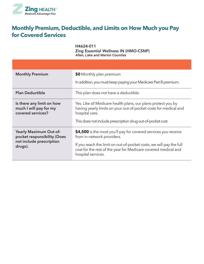

#### **Monthly Premium, Deductible, and Limits on How Much you Pay for Covered Services**

H4624-011 Zing Essential Wellness IN (HMO-CSNP) *Allen, Lake and Marion Counties*

| <b>Monthly Premium</b>                                                                              | \$0 Monthly plan premium                                                                                                                                                                                                               |  |
|-----------------------------------------------------------------------------------------------------|----------------------------------------------------------------------------------------------------------------------------------------------------------------------------------------------------------------------------------------|--|
|                                                                                                     | In addition, you must keep paying your Medicare Part B premium.                                                                                                                                                                        |  |
| <b>Plan Deductible</b>                                                                              | This plan does not have a deductible.                                                                                                                                                                                                  |  |
| Is there any limit on how<br>much I will pay for my<br>covered services?                            | Yes. Like all Medicare health plans, our plans protect you by<br>having yearly limits on your out-of-pocket costs for medical and<br>hospital care.<br>This does not include prescription drug out-of-pocket cost.                     |  |
| <b>Yearly Maximum Out-of-</b><br>pocket responsibility (Does<br>not include prescription<br>drugs). | \$4,500 is the most you'll pay for covered services you receive<br>from in-network providers.<br>If you reach the limit on out-of-pocket costs, we will pay the full<br>cost for the rest of the year for Medicare covered medical and |  |
|                                                                                                     | hospital services.                                                                                                                                                                                                                     |  |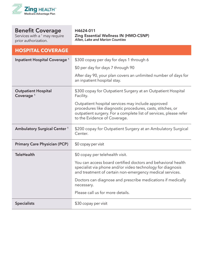

Services with a <sup>1</sup> may require prior authorization.

H4624-011 Zing Essential Wellness IN (HMO-CSNP) *Allen, Lake and Marion Counties*

#### **HOSPITAL COVERAGE**

| Inpatient Hospital Coverage <sup>1</sup>            | \$300 copay per day for days 1 through 6                                                                                                                                                                             |  |
|-----------------------------------------------------|----------------------------------------------------------------------------------------------------------------------------------------------------------------------------------------------------------------------|--|
|                                                     | \$0 per day for days 7 through 90                                                                                                                                                                                    |  |
|                                                     | After day 90, your plan covers an unlimited number of days for<br>an inpatient hospital stay.                                                                                                                        |  |
| <b>Outpatient Hospital</b><br>Coverage <sup>1</sup> | \$300 copay for Outpatient Surgery at an Outpatient Hospital<br>Facility.                                                                                                                                            |  |
|                                                     | Outpatient hospital services may include approved<br>procedures like diagnostic procedures, casts, stitches, or<br>outpatient surgery. For a complete list of services, please refer<br>to the Evidence of Coverage. |  |
| <b>Ambulatory Surgical Center<sup>1</sup></b>       | \$200 copay for Outpatient Surgery at an Ambulatory Surgical<br>Center.                                                                                                                                              |  |
| <b>Primary Care Physician (PCP)</b>                 | \$0 copay per visit                                                                                                                                                                                                  |  |
| <b>TeleHealth</b>                                   | \$0 copay per telehealth visit.                                                                                                                                                                                      |  |
|                                                     | You can access board certified doctors and behavioral health<br>specialist via phone and/or video technology for diagnosis<br>and treatment of certain non-emergency medical services.                               |  |
|                                                     | Doctors can diagnose and prescribe medications if medically<br>necessary.                                                                                                                                            |  |
|                                                     | Please call us for more details.                                                                                                                                                                                     |  |
| <b>Specialists</b>                                  | \$30 copay per visit                                                                                                                                                                                                 |  |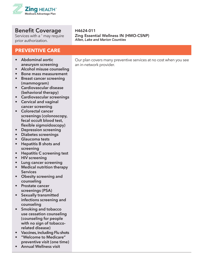

Services with a <sup>1</sup> may require prior authorization.

#### **PREVENTIVE CARE**

- **• Abdominal aortic aneurysm screening**
- **• Alcohol misuse counseling**
- **• Bone mass measurement**
- **• Breast cancer screening (mammogram)**
- **• Cardiovascular disease (behavioral therapy)**
- **• Cardiovascular screenings**
- **• Cervical and vaginal cancer screening**
- **• Colorectal cancer screenings (colonoscopy, fecal occult blood test, flexible sigmoidoscopy)**
- **• Depression screening**
- **• Diabetes screenings**
- **• Glaucoma tests**
- **• Hepatitis B shots and screening**
- **• Hepatitis C screening test**
- **• HIV screening**
- **• Lung cancer screening**
- **• Medical nutrition therapy Services**
- **• Obesity screening and counseling**
- **• Prostate cancer screenings (PSA)**
- **• Sexually transmitted infections screening and counseling**
- **• Smoking and tobacco use cessation counseling (counseling for people with no sign of tobaccorelated disease)**
- **• Vaccines, including Flu shots**
- **• "Welcome to Medicare" preventive visit (one time)**
- **• Annual Wellness visit**

H4624-011 Zing Essential Wellness IN (HMO-CSNP) *Allen, Lake and Marion Counties*

Our plan covers many preventive services at no cost when you see an in-network provider.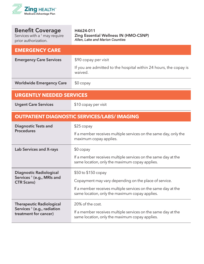

| <b>Benefit Coverage</b><br>Services with a <sup>1</sup> may require<br>prior authorization. | H4624-011<br>Zing Essential Wellness IN (HMO-CSNP)<br>Allen, Lake and Marion Counties                           |  |
|---------------------------------------------------------------------------------------------|-----------------------------------------------------------------------------------------------------------------|--|
| <b>EMERGENCY CARE</b>                                                                       |                                                                                                                 |  |
| <b>Emergency Care Services</b>                                                              | \$90 copay per visit                                                                                            |  |
|                                                                                             | If you are admitted to the hospital within 24 hours, the copay is<br>waived.                                    |  |
| <b>Worldwide Emergency Care</b>                                                             | $$0$ copay                                                                                                      |  |
| <b>URGENTLY NEEDED SERVICES</b>                                                             |                                                                                                                 |  |
| <b>Urgent Care Services</b>                                                                 | \$10 copay per visit                                                                                            |  |
|                                                                                             | <b>OUTPATIENT DIAGNOSTIC SERVICES/LABS/IMAGING</b>                                                              |  |
| <b>Diagnostic Tests and</b>                                                                 | $$25$ copay                                                                                                     |  |
| <b>Procedures</b>                                                                           | If a member receives multiple services on the same day, only the<br>maximum copay applies.                      |  |
| Lab Services and X-rays                                                                     | $$0$ copay                                                                                                      |  |
|                                                                                             | If a member receives multiple services on the same day at the<br>same location, only the maximum copay applies. |  |
| <b>Diagnostic Radiological</b>                                                              | \$50 to \$150 copay                                                                                             |  |
| Services <sup>1</sup> (e.g., MRIs and<br><b>CTR Scans)</b>                                  | Copayment may vary depending on the place of service.                                                           |  |
|                                                                                             | If a member receives multiple services on the same day at the<br>same location, only the maximum copay applies. |  |
| <b>Therapeutic Radiological</b>                                                             | 20% of the cost.                                                                                                |  |
| Services <sup>1</sup> (e.g., radiation<br>treatment for cancer)                             | If a member receives multiple services on the same day at the<br>same location, only the maximum copay applies. |  |
|                                                                                             |                                                                                                                 |  |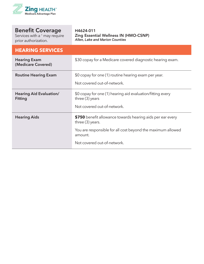

**College** 

| <b>Benefit Coverage</b><br>Services with a <sup>1</sup> may require<br>prior authorization. | H4624-011<br><b>Zing Essential Wellness IN (HMO-CSNP)</b><br>Allen, Lake and Marion Counties                                                                                            |
|---------------------------------------------------------------------------------------------|-----------------------------------------------------------------------------------------------------------------------------------------------------------------------------------------|
| <b>HEARING SERVICES</b>                                                                     |                                                                                                                                                                                         |
| <b>Hearing Exam</b><br>(Medicare Covered)                                                   | \$30 copay for a Medicare covered diagnostic hearing exam.                                                                                                                              |
| <b>Routine Hearing Exam</b>                                                                 | \$0 copay for one (1) routine hearing exam per year.<br>Not covered out-of-network.                                                                                                     |
| <b>Hearing Aid Evaluation/</b><br><b>Fitting</b>                                            | \$0 copay for one (1) hearing aid evaluation/fitting every<br>three $(3)$ years<br>Not covered out-of-network.                                                                          |
| <b>Hearing Aids</b>                                                                         | \$750 benefit allowance towards hearing aids per ear every<br>three (3) years.<br>You are responsible for all cost beyond the maximum allowed<br>amount.<br>Not covered out-of-network. |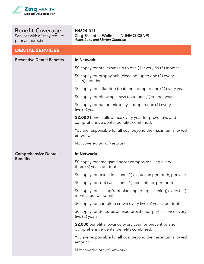

Services with a <sup>1</sup> may require prior authorization.

**DENTAL SERVICES**

H4624-011 Zing Essential Wellness IN (HMO-CSNP) *Allen, Lake and Marion Counties*

| EN IAE JERTISES                                |                                                                                                    |  |
|------------------------------------------------|----------------------------------------------------------------------------------------------------|--|
| <b>Preventive Dental Benefits</b>              | <b>In-Network:</b>                                                                                 |  |
|                                                | \$0 copay for oral exams up to one (1) every six (6) months                                        |  |
|                                                | \$0 copay for prophylaxis (cleaning) up to one (1) every<br>$six(6)$ months                        |  |
|                                                | \$0 copay for a fluoride treatment for up to one (1) every year                                    |  |
|                                                | \$0 copay for bitewing x-rays up to one (1) set per year                                           |  |
|                                                | \$0 copay for panoramic x-rays for up to one (1) every<br>five $(5)$ years                         |  |
|                                                | \$2,000 benefit allowance every year for preventive and<br>comprehensive dental benefits combined. |  |
|                                                | You are responsible for all cost beyond the maximum allowed<br>amount.                             |  |
|                                                | Not covered out-of-network.                                                                        |  |
| <b>Comprehensive Dental</b><br><b>Benefits</b> | <b>In-Network:</b>                                                                                 |  |
|                                                | \$0 copay for amalgam and/or composite filling every<br>three (3) years per tooth                  |  |
|                                                | \$0 copay for extractions one (1) extraction per tooth, per year                                   |  |
|                                                | \$0 copay for root canals one (1) per lifetime, per tooth                                          |  |
|                                                | \$0 copay for scaling/root planning (deep cleaning) every (24)<br>months per quadrant              |  |
|                                                | \$0 copay for complete crown every five (5) years, per tooth                                       |  |
|                                                | \$0 copay for dentures or fixed prosthetics/partials once every<br>five $(5)$ years                |  |
|                                                | \$2,000 benefit allowance every year for preventive and<br>comprehensive dental benefits combined. |  |
|                                                | You are responsible for all cost beyond the maximum allowed<br>amount.                             |  |
|                                                | Not covered out-of-network.                                                                        |  |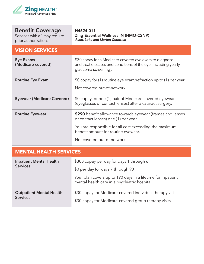

Services with a  $^1$  may require prior authorization.

#### H4624-011 Zing Essential Wellness IN (HMO-CSNP) *Allen, Lake and Marion Counties*

| <b>VISION SERVICES</b>                 |                                                                                                                                                  |
|----------------------------------------|--------------------------------------------------------------------------------------------------------------------------------------------------|
| <b>Eye Exams</b><br>(Medicare-covered) | \$30 copay for a Medicare-covered eye exam to diagnose<br>and treat diseases and conditions of the eye (including yearly<br>glaucoma screening). |
| <b>Routine Eye Exam</b>                | \$0 copay for (1) routine eye exam/refraction up to (1) per year<br>Not covered out-of-network.                                                  |
| <b>Eyewear (Medicare Covered)</b>      | \$0 copay for one (1) pair of Medicare covered eyewear<br>(eyeglasses or contact lenses) after a cataract surgery.                               |
| <b>Routine Eyewear</b>                 | \$290 benefit allowance towards eyewear (frames and lenses<br>or contact lenses) one (1) per year.                                               |
|                                        | You are responsible for all cost exceeding the maximum<br>benefit amount for routine eyewear.                                                    |
|                                        | Not covered out-of-network.                                                                                                                      |

#### **MENTAL HEALTH SERVICES**

| <b>Inpatient Mental Health</b><br>Services <sup>1</sup> | \$300 copay per day for days 1 through 6<br>\$0 per day for days 7 through 90                                       |  |
|---------------------------------------------------------|---------------------------------------------------------------------------------------------------------------------|--|
|                                                         | Your plan covers up to 190 days in a lifetime for inpatient<br>mental health care in a psychiatric hospital.        |  |
| <b>Outpatient Mental Health</b><br><b>Services</b>      | \$30 copay for Medicare-covered individual therapy visits.<br>\$30 copay for Medicare-covered group therapy visits. |  |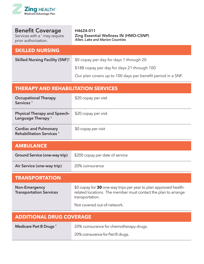

| <b>Benefit Coverage</b><br>Services with a <sup>1</sup> may require<br>prior authorization. | H4624-011<br><b>Zing Essential Wellness IN (HMO-CSNP)</b><br>Allen, Lake and Marion Counties                                                          |
|---------------------------------------------------------------------------------------------|-------------------------------------------------------------------------------------------------------------------------------------------------------|
| <b>SKILLED NURSING</b>                                                                      |                                                                                                                                                       |
| <b>Skilled Nursing Facility (SNF)1</b>                                                      | \$0 copay per day for days 1 through 20                                                                                                               |
|                                                                                             | \$188 copay per day for days 21 through 100                                                                                                           |
|                                                                                             | Our plan covers up to 100 days per benefit period in a SNF.                                                                                           |
| <b>THERAPY AND REHABILITATION SERVICES</b>                                                  |                                                                                                                                                       |
| <b>Occupational Therapy</b><br>Services <sup>1</sup>                                        | \$20 copay per visit                                                                                                                                  |
| <b>Physical Therapy and Speech-</b><br>Language Therapy <sup>1</sup>                        | \$20 copay per visit                                                                                                                                  |
| <b>Cardiac and Pulmonary</b><br>Rehabilitation Services <sup>1</sup>                        | \$0 copay per visit                                                                                                                                   |
| <b>AMBULANCE</b>                                                                            |                                                                                                                                                       |
| Ground Service (one-way trip)                                                               | \$200 copay per date of service                                                                                                                       |
| Air Service (one-way trip)                                                                  | 20% coinsurance                                                                                                                                       |
| <b>TRANSPORTATION</b>                                                                       |                                                                                                                                                       |
| <b>Non-Emergency</b><br><b>Transportation Services</b>                                      | \$0 copay for 30 one-way trips per year to plan approved health-<br>related locations. The member must contact the plan to arrange<br>transportation. |
|                                                                                             | Not covered out-of-network.                                                                                                                           |
|                                                                                             |                                                                                                                                                       |

| <b>ADDITIONAL DRUG COVERAGE</b>    |                                         |
|------------------------------------|-----------------------------------------|
| Medicare Part B Drugs <sup>1</sup> | 20% coinsurance for chemotherapy drugs. |
|                                    | 20% coinsurance for Part B drugs.       |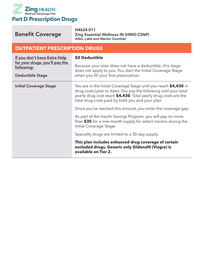

r.

| <b>Benefit Coverage</b>                                                                                 | H4624-011<br><b>Zing Essential Wellness IN (HMO-CSNP)</b><br>Allen, Lake and Marion Counties                                                                                                                                                                 |
|---------------------------------------------------------------------------------------------------------|--------------------------------------------------------------------------------------------------------------------------------------------------------------------------------------------------------------------------------------------------------------|
| <b>OUTPATIENT PRESCRIPTION DRUGS</b>                                                                    |                                                                                                                                                                                                                                                              |
| If you don't have Extra Help<br>for your drugs, you'll pay the<br>following:<br><b>Deductible Stage</b> | \$0 Deductible<br>Because your plan does not have a deductible, this stage<br>does not apply to you. You start the Initial Coverage Stage<br>when you fill your first prescription.                                                                          |
| <b>Initial Coverage Stage</b>                                                                           | You are in the Initial Coverage Stage until you reach \$4,430 in<br>drug costs (year to date). You pay the following until your total<br>yearly drug cost reach \$4,430. Total yearly drug costs are the<br>total drug costs paid by both you and your plan. |
|                                                                                                         | Once you've reached this amount, you enter the coverage gap.<br>As part of the Insulin Savings Program, you will pay no more<br>than \$35 for a one-month supply for select insulins during the<br>Initial Coverage Stage.                                   |
|                                                                                                         | Specialty drugs are limited to a 30-day supply.<br>This plan includes enhanced drug coverage of certain<br>excluded drugs. Generic only Sildenafil (Viagra) is<br>available on Tier 2.                                                                       |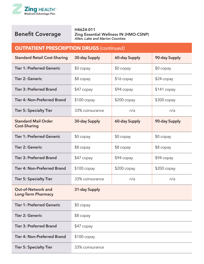

H4624-011 Zing Essential Wellness IN (HMO-CSNP) *Allen, Lake and Marion Counties*

#### **OUTPATIENT PRESCRIPTION DRUGS** *(continued)*

| <b>Standard Retail Cost-Sharing</b>                    | 30-day Supply   | <b>60-day Supply</b> | 90-day Supply |
|--------------------------------------------------------|-----------------|----------------------|---------------|
| <b>Tier 1: Preferred Generic</b>                       | $$0$ copay      | $$0$ copay           | $$0$ copay    |
| <b>Tier 2: Generic</b>                                 | $$8$ copay      | \$16 copay           | \$24 copay    |
| <b>Tier 3: Preferred Brand</b>                         | $$47$ copay     | $$94$ copay          | $$141$ copay  |
| <b>Tier 4: Non-Preferred Brand</b>                     | $$100$ copay    | $$200$ copay         | $$300$ copay  |
| <b>Tier 5: Specialty Tier</b>                          | 33% coinsurance | n/a                  | n/a           |
| <b>Standard Mail Order</b><br><b>Cost-Sharing</b>      | 30-day Supply   | <b>60-day Supply</b> | 90-day Supply |
| <b>Tier 1: Preferred Generic</b>                       | $$0$ copay      | $$0$ copay           | $$0$ copay    |
| <b>Tier 2: Generic</b>                                 | $$8$ copay      | $$8$ copay           | \$8 copay     |
| <b>Tier 3: Preferred Brand</b>                         | \$47 copay      | \$94 copay           | \$94 copay    |
| <b>Tier 4: Non-Preferred Brand</b>                     | $$100$ copay    | $$200$ copay         | \$200 copay   |
| <b>Tier 5: Specialty Tier</b>                          | 33% coinsurance | n/a                  | n/a           |
| <b>Out-of-Network and</b><br><b>Long-Term Pharmacy</b> | 31-day Supply   |                      |               |
| <b>Tier 1: Preferred Generic</b>                       | $$0$ copay      |                      |               |
| <b>Tier 2: Generic</b>                                 | $$8$ copay      |                      |               |
| <b>Tier 3: Preferred Brand</b>                         | $$47$ copay     |                      |               |
| <b>Tier 4: Non-Preferred Brand</b>                     | $$100$ copay    |                      |               |
| <b>Tier 5: Specialty Tier</b>                          | 33% coinsurance |                      |               |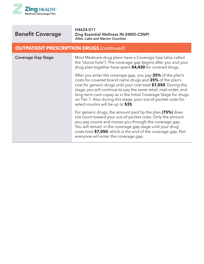

H4624-011 Zing Essential Wellness IN (HMO-CSNP) *Allen, Lake and Marion Counties*

#### **OUTPATIENT PRESCRIPTION DRUGS** *(continued)*

| <b>Coverage Gap Stage</b> | Most Medicare drug plans have a Coverage Gap (also called<br>the "donut hole"). The coverage gap begins after you and your<br>drug plan together have spent \$4,430 for covered drugs.                                                                                                                                                                                                                                                        |
|---------------------------|-----------------------------------------------------------------------------------------------------------------------------------------------------------------------------------------------------------------------------------------------------------------------------------------------------------------------------------------------------------------------------------------------------------------------------------------------|
|                           | After you enter the coverage gap, you pay 25% of the plan's<br>costs for covered brand name drugs and 25% of the plan's<br>cost for generic drugs until your cost total \$7,050. During this<br>stage, you will continue to pay the same retail, mail-order, and<br>long-term care copay as in the Initial Coverage Stage for drugs<br>on Tier 1. Also during this stage, your out-of-pocket costs for<br>select insulins will be up to \$35. |
|                           | For generic drugs, the amount paid by the plan (75%) does<br>not count toward your out-of-pocket costs. Only the amount<br>you pay counts and moves you through the coverage gap.<br>You will remain in the coverage gap stage until your drug<br>costs total \$7,050, which is the end of the coverage gap. Not<br>everyone will enter the coverage gap.                                                                                     |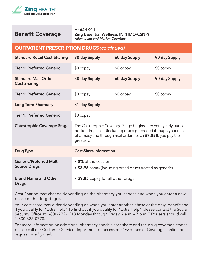

**Brand Name and Other** 

H4624-011 Zing Essential Wellness IN (HMO-CSNP) *Allen, Lake and Marion Counties*

| <b>OUTPATIENT PRESCRIPTION DRUGS (continued)</b>       |                                                                                                                                                                                                                    |               |               |
|--------------------------------------------------------|--------------------------------------------------------------------------------------------------------------------------------------------------------------------------------------------------------------------|---------------|---------------|
| <b>Standard Retail Cost-Sharing</b>                    | 30-day Supply                                                                                                                                                                                                      | 60-day Supply | 90-day Supply |
| <b>Tier 1: Preferred Generic</b>                       | $$0$ copay                                                                                                                                                                                                         | $$0$ copay    | $$0$ copay    |
| <b>Standard Mail Order</b><br><b>Cost-Sharing</b>      | 30-day Supply                                                                                                                                                                                                      | 60-day Supply | 90-day Supply |
| <b>Tier 1: Preferred Generic</b>                       | $$0$ copay                                                                                                                                                                                                         | $$0$ copay    | $$0$ copay    |
| <b>Long-Term Pharmacy</b>                              | 31-day Supply                                                                                                                                                                                                      |               |               |
| <b>Tier 1: Preferred Generic</b>                       | $$0$ copay                                                                                                                                                                                                         |               |               |
| <b>Catastrophic Coverage Stage</b>                     | The Catastrophic Coverage Stage begins after your yearly out-of-<br>pocket drug costs (including drugs purchased through your retail<br>pharmacy and through mail order) reach \$7,050, you pay the<br>greater of: |               |               |
| <b>Drug Type</b>                                       | <b>Cost-Share Information</b>                                                                                                                                                                                      |               |               |
| <b>Generic/Preferred Multi-</b><br><b>Source Drugs</b> | • 5% of the cost, or<br>• \$3.95 copay (including brand drugs treated as generic)                                                                                                                                  |               |               |

**Drugs** Cost-Sharing may change depending on the pharmacy you choose and when you enter a new

• **\$9.85** copay for all other drugs

phase of the drug stages.

Your cost share may differ depending on when you enter another phase of the drug benefit and if you qualify for "Extra Help." To find out if you qualify for "Extra Help," please contact the Social Security Office at 1-800-772-1213 Monday through Friday, 7 a.m. – 7 p.m. TTY users should call 1-800-325-0778.

For more information on additional pharmacy specific cost-share and the drug coverage stages, please call our Customer Service department or access our "Evidence of Coverage" online or request one by mail.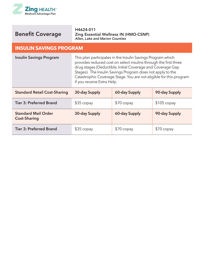



H4624-011 Zing Essential Wellness IN (HMO-CSNP) *Allen, Lake and Marion Counties*

#### **INSULIN SAVINGS PROGRAM**

| <b>Insulin Savings Program</b>                    | This plan participates in the Insulin Savings Program which<br>provides reduced cost on select insulins through the first three<br>drug stages (Deductible, Initial Coverage and Coverage Gap<br>Stages). The Insulin Savings Program does not apply to the<br>Catastrophic Coverage Stage. You are not eligible for this program<br>if you receive Extra Help. |               |               |
|---------------------------------------------------|-----------------------------------------------------------------------------------------------------------------------------------------------------------------------------------------------------------------------------------------------------------------------------------------------------------------------------------------------------------------|---------------|---------------|
| <b>Standard Retail Cost-Sharing</b>               | 30-day Supply                                                                                                                                                                                                                                                                                                                                                   | 60-day Supply | 90-day Supply |
| <b>Tier 3: Preferred Brand</b>                    | $$35$ copay                                                                                                                                                                                                                                                                                                                                                     | $$70$ copay   | $$105$ copay  |
| <b>Standard Mail Order</b><br><b>Cost-Sharing</b> | 30-day Supply                                                                                                                                                                                                                                                                                                                                                   | 60-day Supply | 90-day Supply |
| <b>Tier 3: Preferred Brand</b>                    | $$35$ copay                                                                                                                                                                                                                                                                                                                                                     | $$70$ copay   | $$70$ copay   |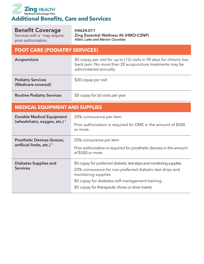

Services with a <sup>1</sup> may require prior authorization.

H4624-011 Zing Essential Wellness IN (HMO-CSNP) *Allen, Lake and Marion Counties*

#### **FOOT CARE (PODIATRY SERVICES) Acupuncture** \$0 copay per visit for up to (12) visits in 90 days for chronic low back pain. No more than 20 acupuncture treatments may be administered annually. **Podiatry Services (Medicare-covered)** \$30 copay per visit **Routine Podiatry Services** \$0 copay for (6) visits per year **MEDICAL EQUIPMENT AND SUPPLIES Durable Medical Equipment (wheelchairs, oxygen, etc.) <sup>1</sup>** 20% coinsurance per item Prior authorization is required for DME in the amount of \$500 or more. **Prosthetic Devices (braces, artificial limbs, etc.) <sup>1</sup>** 20% coinsurance per item Prior authorization is required for prosthetic devices in the amount of \$500 or more. **Diabetes Supplies and Services** \$0 copay for preferred diabetic test strips and monitoring supplies 20% coinsurance for non-preferred diabetic test strips and monitoring supplies \$0 copay for diabetes self-management training

\$0 copay for therapeutic shoes or shoe inserts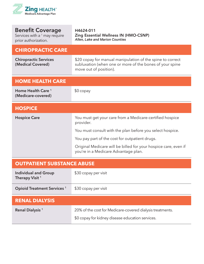

| Services with a $1$ may require<br>prior authorization. | <b>Zing Essential Wellness IN (HMO-CSNP)</b><br>Allen, Lake and Marion Counties                                                                  |
|---------------------------------------------------------|--------------------------------------------------------------------------------------------------------------------------------------------------|
| <b>CHIROPRACTIC CARE</b>                                |                                                                                                                                                  |
| <b>Chiropractic Services</b><br>(Medical Covered)       | \$20 copay for manual manipulation of the spine to correct<br>subluxation (when one or more of the bones of your spine<br>move out of position). |
| <b>HOME HEALTH CARE</b>                                 |                                                                                                                                                  |
| Home Health Care <sup>1</sup><br>(Medicare-covered)     | $$0$ copay                                                                                                                                       |
| <b>HOSPICE</b>                                          |                                                                                                                                                  |
| <b>Hospice Care</b>                                     | You must get your care from a Medicare-certified hospice<br>provider.                                                                            |
|                                                         | You must consult with the plan before you select hospice.                                                                                        |
|                                                         | You pay part of the cost for outpatient drugs.                                                                                                   |
|                                                         | Original Medicare will be billed for your hospice care, even if<br>you're in a Medicare Advantage plan.                                          |

H4624-011

#### **OUTPATIENT SUBSTANCE ABUSE**

| <b>Individual and Group</b><br>Therapy Visit <sup>1</sup> | \$30 copay per visit                                      |
|-----------------------------------------------------------|-----------------------------------------------------------|
| <b>Opioid Treatment Services</b> <sup>1</sup>             | \$30 copay per visit                                      |
| <b>RENAL DIALYSIS</b>                                     |                                                           |
| Renal Dialysis <sup>1</sup>                               | 20% of the cost for Medicare-covered dialysis treatments. |
|                                                           | \$0 copay for kidney disease education services.          |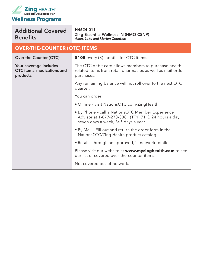

#### Additional Covered **Benefits**

H4624-011 Zing Essential Wellness IN (HMO-CSNP) *Allen, Lake and Marion Counties*

#### **OVER-THE-COUNTER (OTC) ITEMS**

**Over-the-Counter (OTC)**

**Your coverage includes OTC items, medications and products.** 

**\$105** every (3) months for OTC items.

The OTC debit card allows members to purchase health related items from retail pharmacies as well as mail order purchases.

Any remaining balance will not roll over to the next OTC quarter.

You can order:

- Online visit NationsOTC.com/ZingHealth
- By Phone call a NationsOTC Member Experience Advisor at 1-877-273-3381 (TTY: 711), 24 hours a day, seven days a week, 365 days a year.
- By Mail Fill out and return the order form in the NationsOTC/Zing Health product catalog.
- Retail through an approved, in network retailer

Please visit our website at **www.myzinghealth.com** to see our list of covered over-the-counter items.

Not covered out-of-network.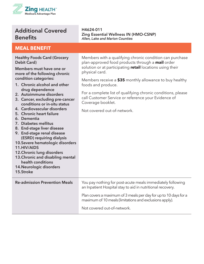

#### Additional Covered **Benefits**

#### **MEAL BENEFIT**

**Healthy Foods Card (Grocery Debit Card)**

**Members must have one or more of the following chronic condition categories:**

- **1. Chronic alcohol and other drug dependence**
- **2. Autoimmune disorders**
- **3. Cancer, excluding pre-cancer conditions or in-situ status**
- **4. Cardiovascular disorders**
- **5. Chronic heart failure**

Members with a qualifying chronic condition can purchase plan-approved food products through a **mail** order solution or at participating **retail** locations using their physical card.

Zing Essential Wellness IN (HMO-CSNP)

*Allen, Lake and Marion Counties*

Members receive a **\$35** monthly allowance to buy healthy foods and produce.

For a complete list of qualifying chronic conditions, please call Customer Service or reference your Evidence of Coverage booklet.

Not covered out-of-network.

H4624-011

| 6. Dementia<br>7. Diabetes mellitus<br>8. End-stage liver disease<br>9. End-stage renal disease<br>(ESRD) requiring dialysis<br>10. Severe hematologic disorders<br>11.HIV/AIDS<br>12. Chronic lung disorders<br>13. Chronic and disabling mental<br>health conditions<br>14. Neurologic disorders<br>15.Stroke |                                                                                                                             |
|-----------------------------------------------------------------------------------------------------------------------------------------------------------------------------------------------------------------------------------------------------------------------------------------------------------------|-----------------------------------------------------------------------------------------------------------------------------|
| <b>Re-admission Prevention Meals</b>                                                                                                                                                                                                                                                                            | You pay nothing for post-acute meals immediately following<br>an Inpatient Hospital stay to aid in nutritional recovery.    |
|                                                                                                                                                                                                                                                                                                                 | Plan covers a maximum of 3 meals per day for up to 10 days for a<br>maximum of 10 meals (limitations and exclusions apply). |
|                                                                                                                                                                                                                                                                                                                 | Not covered out-of-network.                                                                                                 |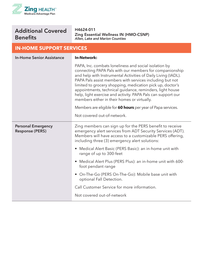

#### Additional Covered Benefits

H4624-011 Zing Essential Wellness IN (HMO-CSNP) *Allen, Lake and Marion Counties*

#### **IN-HOME SUPPORT SERVICES**

| <b>In-Home Senior Assistance</b>                    | <b>In-Network:</b>                                                                                                                                                                                                                                                                                                                                                                                                                                                                                                                                                                   |
|-----------------------------------------------------|--------------------------------------------------------------------------------------------------------------------------------------------------------------------------------------------------------------------------------------------------------------------------------------------------------------------------------------------------------------------------------------------------------------------------------------------------------------------------------------------------------------------------------------------------------------------------------------|
|                                                     | PAPA, Inc. combats loneliness and social isolation by<br>connecting PAPA Pals with our members for companionship<br>and help with Instrumental Activities of Daily Living (IADL).<br>PAPA Pals assist members with services including but not<br>limited to grocery shopping, medication pick up, doctor's<br>appointments, technical guidance, reminders, light house<br>help, light exercise and activity. PAPA Pals can support our<br>members either in their homes or virtually.<br>Members are eligible for 60 hours per year of Papa services.<br>Not covered out-of-network. |
| <b>Personal Emergency</b><br><b>Response (PERS)</b> | Zing members can sign up for the PERS benefit to receive<br>emergency alert services from ADT Security Services (ADT).<br>Members will have access to a customizable PERS offering,<br>including three (3) emergency alert solutions:                                                                                                                                                                                                                                                                                                                                                |
|                                                     | Medical Alert Basic (PERS Basic): an in-home unit with<br>range of up to 300-feet                                                                                                                                                                                                                                                                                                                                                                                                                                                                                                    |
|                                                     | Medical Alert Plus (PERS Plus): an in-home unit with 600-<br>foot pendant range                                                                                                                                                                                                                                                                                                                                                                                                                                                                                                      |
|                                                     | On-The-Go (PERS On-The-Go): Mobile base unit with<br>optional Fall Detection.                                                                                                                                                                                                                                                                                                                                                                                                                                                                                                        |
|                                                     | Call Customer Service for more information.                                                                                                                                                                                                                                                                                                                                                                                                                                                                                                                                          |
|                                                     | Not covered out-of-network                                                                                                                                                                                                                                                                                                                                                                                                                                                                                                                                                           |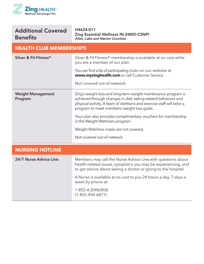

| <b>Additional Covered</b> |  |
|---------------------------|--|
| <b>Benefits</b>           |  |

H4624-011 Zing Essential Wellness IN (HMO-CSNP) *Allen, Lake and Marion Counties*

#### **HEALTH CLUB MEMBERSHIPS**

| Silver & Fit Fitness®               | Silver & Fit Fitness® membership is available at no cost while<br>you are a member of our plan.<br>You can find a list of participating clubs on our website at<br>www.myzinghealth.com or call Customer Service.                                           |
|-------------------------------------|-------------------------------------------------------------------------------------------------------------------------------------------------------------------------------------------------------------------------------------------------------------|
|                                     | Not covered out-of-network.                                                                                                                                                                                                                                 |
| <b>Weight Management</b><br>Program | Zing's weight loss and long-term weight maintenance program is<br>achieved through changes in diet, eating-related behaviors and<br>physical activity. A team of dietitians and exercise staff will tailor a<br>program to meet members' weight loss goals. |
|                                     | Your plan also provides complimentary vouchers for membership<br>in the Weight Watchers program.                                                                                                                                                            |
|                                     | Weight Watchers meals are not covered.                                                                                                                                                                                                                      |
|                                     | Not covered out-of-network                                                                                                                                                                                                                                  |
| <b>NURSING HOTLINE</b>              |                                                                                                                                                                                                                                                             |
| 24/7 Nurse Advice Line              | Members may call the Nurse Advice Line with questions about<br>health-related issues, symptoms you may be experiencing, and<br>to get advice about seeing a doctor or going to the hospital.                                                                |
|                                     | A Nurse is available at no cost to you 24 hours a day, 7 days a<br>week by phone at:                                                                                                                                                                        |
|                                     | 1-855-4-ZHNURSE<br>$(1 - 855 - 494 - 6877)$                                                                                                                                                                                                                 |